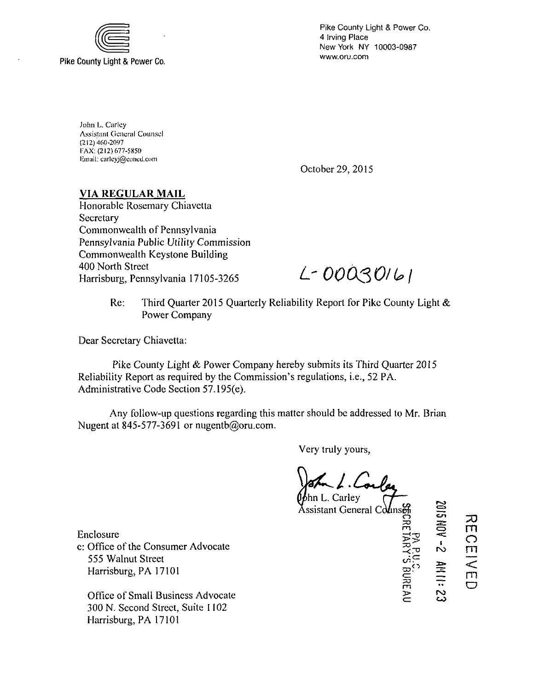

Pike County Light & Power Co. 4 Irving Place New York NY 10003-0987 www.oru.com

John L. Carlcy Assistant General Counsel (212) 460-2097 FAX: (212) 677-5850 l:m:iil; ciirlcyj@C()ncd.com

October 29, 2015

## **VIA REGULAR MAIL**

Honorable Rosemary Chiavetta **Secretary** Commonwealth of Pennsylvania Pennsylvania Public Utility Commission Commonwealth Keystone Building 400 North Street 400 North Street<br>Harrisburg, Pennsylvania 17105-3265 **L-DOQSOI U** 

Re: Third Quarter 2015 Quarterly Reliability Report for Pike County Light & Power Company

Dear Secretary Chiavetta:

Pike County Light & Power Company hereby submits its Third Quarter 2015 Reliability Report as required by the Commission's regulations, i.e., 52 PA. Administrative Code Section 57.195(e).

Any follow-up questions regarding this matter should be addressed to Mr. Brian Nugent at 845-577-3691 or nugentb@oru.com.

Very truly yours,

hn L. Carley

Assistant General Counser C R

 $=$ <sup>m</sup>**<sup>o</sup>m** ^3 <sup>1</sup> ro -<r° **m**   $\mathbb{C}^\mathbb{C}$ \*—i?\* **< <— m**  <sup>m</sup>**o**  3> ro cr CO

em **33** 

**o** 

Enclosure c: Office of the Consumer Advocate 555 Walnut Street Harrisburg, PA 17101

Office of Small Business Advocate 300 N. Second Street, Suite 1102 Harrisburg, PA 17101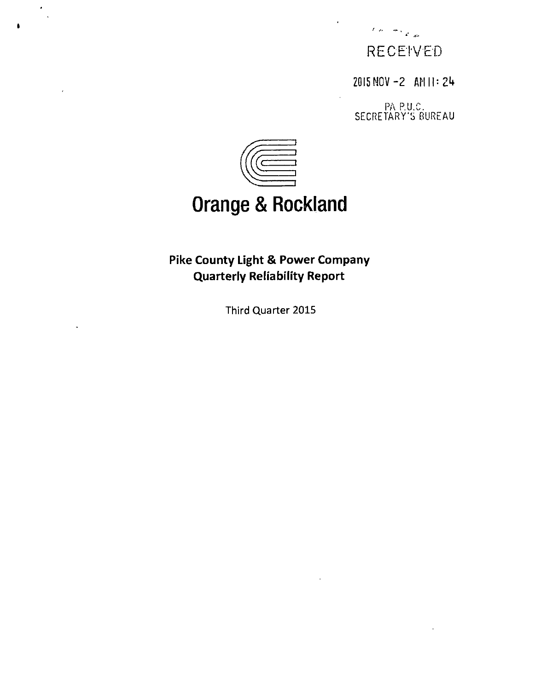

2015 NOV -2 AM II: 24

PA P.U.C. SECRETARY'S BUREAU



# **Orange & Rockland**

## **Pike County Light & Power Company Quarterly Reliability Report**

Third Quarter 2015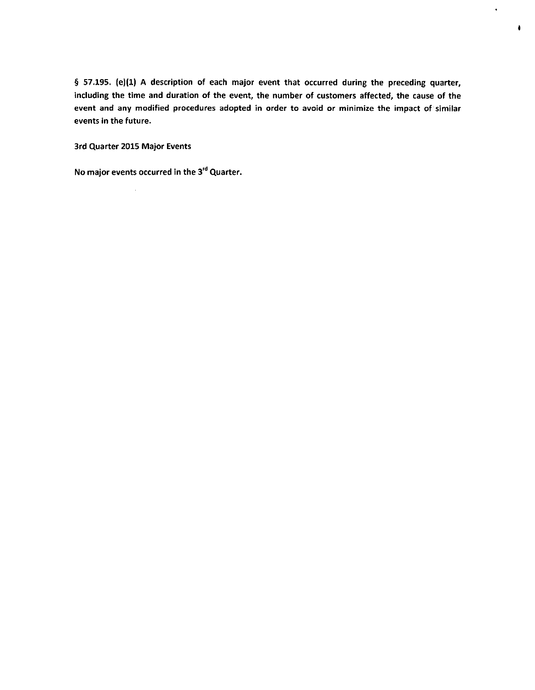§ 57.195. (e)(1) A description of each major event that occurred during the preceding quarter, including the time and duration of the event, the number of customers affected, the cause of the event and any modified procedures adopted in order to avoid or minimize the impact of similar events in the future.

 $\hat{\mathbf{v}}$ 

 $\pmb{\delta}$ 

3rd Quarter 2015 Major Events

 $\bar{\mathcal{A}}$ 

No major events occurred in the 3'" Quarter.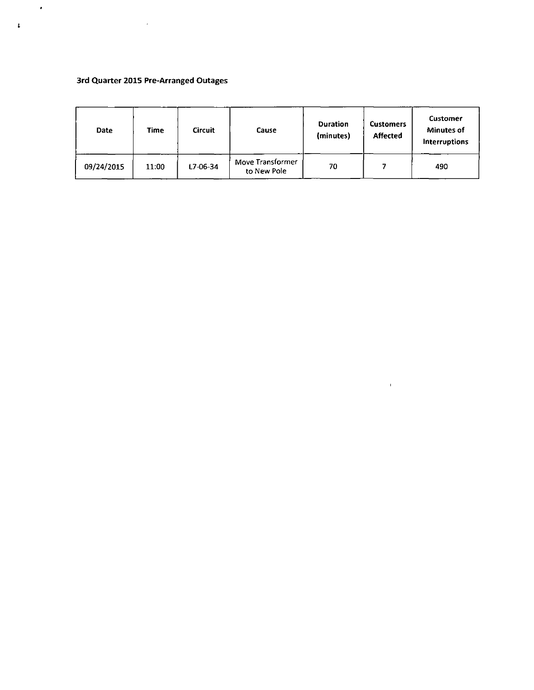### **3rd Quarter 2015 Pre-Arranged Outages**

 $\sim 10^7$ 

 $\langle \bullet \rangle$ 

 $\pmb{\cdot}$ 

| Date       | Time  | <b>Circuit</b> | Cause                           | Duration<br>(minutes) | <b>Customers</b><br><b>Affected</b> | Customer<br><b>Minutes of</b><br><b>Interruptions</b> |
|------------|-------|----------------|---------------------------------|-----------------------|-------------------------------------|-------------------------------------------------------|
| 09/24/2015 | 11:00 | $L7 - 06 - 34$ | Move Transformer<br>to New Pole | 70                    |                                     | 490                                                   |

 $\sim 0.01$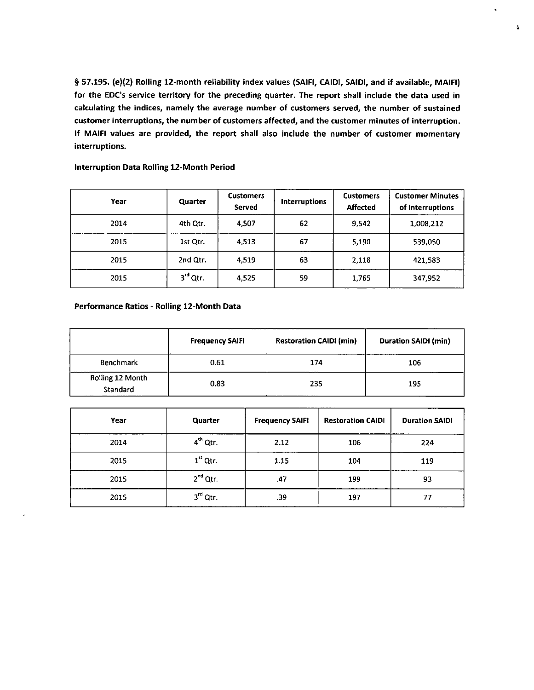**§ 57.195. (e)(2) Rolling 12-month reliability index values (SAIFI, CAIDI, SAIDI, and if available, MAIFI)**  for the EDC's service territory for the preceding quarter. The report shall include the data used in **calculating the indices, namely the average number of customers served, the number of sustained customer interruptions, the number of customers affected, and the customer minutes of interruption. If MAIFI values are provided, the report shall also include the number of customer momentary interruptions.** 

 $\ddot{\bullet}$ 

| Year | Quarter    | <b>Customers</b><br>Served | <b>Interruptions</b> | <b>Customers</b><br><b>Affected</b> | <b>Customer Minutes</b><br>of Interruptions |
|------|------------|----------------------------|----------------------|-------------------------------------|---------------------------------------------|
| 2014 | 4th Qtr.   | 4,507                      | 62                   | 9,542                               | 1,008,212                                   |
| 2015 | 1st Qtr.   | 4,513                      | 67                   | 5,190                               | 539,050                                     |
| 2015 | 2nd Qtr.   | 4,519                      | 63                   | 2,118                               | 421,583                                     |
| 2015 | $3rd$ Qtr. | 4,525                      | 59                   | 1,765                               | 347,952                                     |

#### **Interruption Data Rolling 12-Month Period**

#### **Performance Ratios - Rolling 12-Month Data**

|                              | <b>Frequency SAIFI</b> | <b>Restoration CAIDI (min)</b> | <b>Duration SAIDI (min)</b> |
|------------------------------|------------------------|--------------------------------|-----------------------------|
| Benchmark                    | 0.61                   | 174                            | 106                         |
| Rolling 12 Month<br>Standard | 0.83                   | 235                            | 195                         |

| Year | Quarter              | <b>Frequency SAIFI</b> | <b>Restoration CAIDI</b> | <b>Duration SAIDI</b> |
|------|----------------------|------------------------|--------------------------|-----------------------|
| 2014 | 4 <sup>th</sup> Qtr. | 2.12                   | 106                      | 224                   |
| 2015 | $1st$ Qtr.           | 1.15                   | 104                      | 119                   |
| 2015 | $2nd$ Qtr.           | .47                    | 199                      | 93                    |
| 2015 | $3rd$ Qtr.           | .39                    | 197                      | 77                    |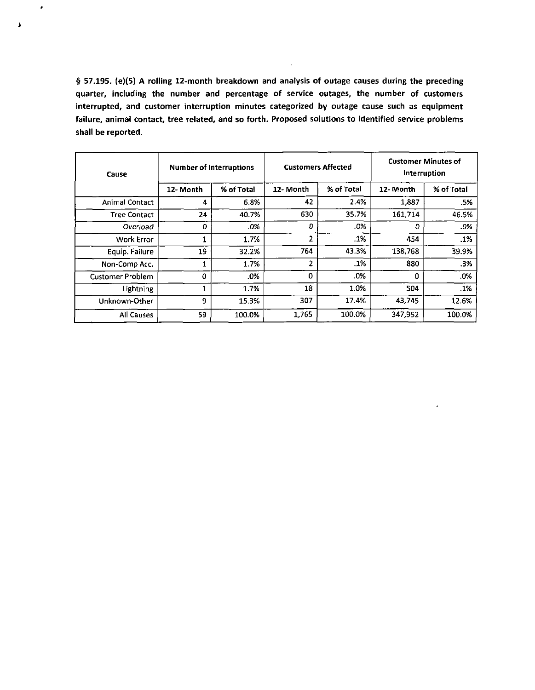**§ 57.195. (e)(5) A rolling 12-month breakdown and analysis of outage causes during the preceding quarter, including the number and percentage of service outages, the number of customers interrupted, and customer interruption minutes categorized by outage cause such as equipment failure, animal contact, tree related, and so forth. Proposed solutions to identified service problems shall be reported.** 

 $\bullet$ 

 $\pmb{\ast}$ 

| Cause                   | <b>Number of Interruptions</b> |            | <b>Customers Affected</b> |            | <b>Customer Minutes of</b><br>Interruption |            |
|-------------------------|--------------------------------|------------|---------------------------|------------|--------------------------------------------|------------|
|                         | 12-Month                       | % of Total | 12- Month                 | % of Total | 12-Month                                   | % of Total |
| <b>Animal Contact</b>   | 4                              | 6.8%       | 42                        | 2.4%       | 1,887                                      | .5%        |
| <b>Tree Contact</b>     | 24                             | 40.7%      | 630                       | 35.7%      | 161,714                                    | 46.5%      |
| Overload                | 0                              | .0%        | $\Omega$                  | .0%        | o                                          | .0%        |
| Work Error              | 1                              | 1.7%       | 2                         | .1%        | 454                                        | .1%        |
| Equip. Failure          | 19                             | 32.2%      | 764                       | 43.3%      | 138.768                                    | 39.9%      |
| Non-Comp Acc.           |                                | 1.7%       | 2                         | .1%        | 880                                        | .3%        |
| <b>Customer Problem</b> | 0                              | .0%        | $\Omega$                  | .0%        | 0                                          | .0%        |
| <b>Lightning</b>        | 1                              | 1.7%       | 18                        | 1.0%       | 504                                        | .1%        |
| Unknown-Other           | 9                              | 15.3%      | 307                       | 17.4%      | 43,745                                     | 12.6%      |
| All Causes              | 59                             | 100.0%     | 1,765                     | 100.0%     | 347,952                                    | 100.0%     |